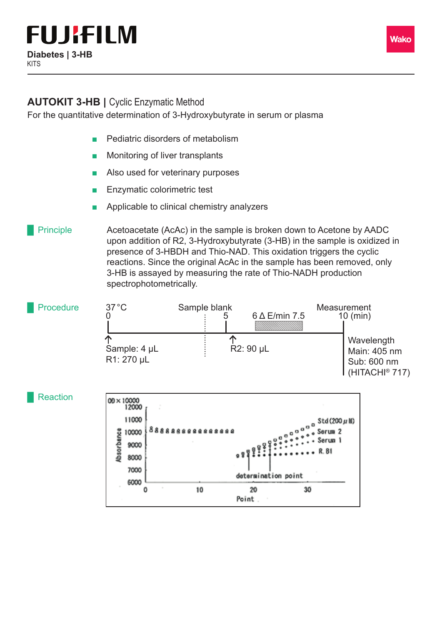## **AUTOKIT 3-HB | Cyclic Enzymatic Method**

For the quantitative determination of 3-Hydroxybutyrate in serum or plasma

- Pediatric disorders of metabolism
- Monitoring of liver transplants
- Also used for veterinary purposes
- Enzymatic colorimetric test
- Applicable to clinical chemistry analyzers

Acetoacetate (AcAc) in the sample is broken down to Acetone by AADC upon addition of R2, 3-Hydroxybutyrate (3-HB) in the sample is oxidized in presence of 3-HBDH and Thio-NAD. This oxidation triggers the cyclic reactions. Since the original AcAc in the sample has been removed, only 3-HB is assayed by measuring the rate of Thio-NADH production spectrophotometrically. **Principle**